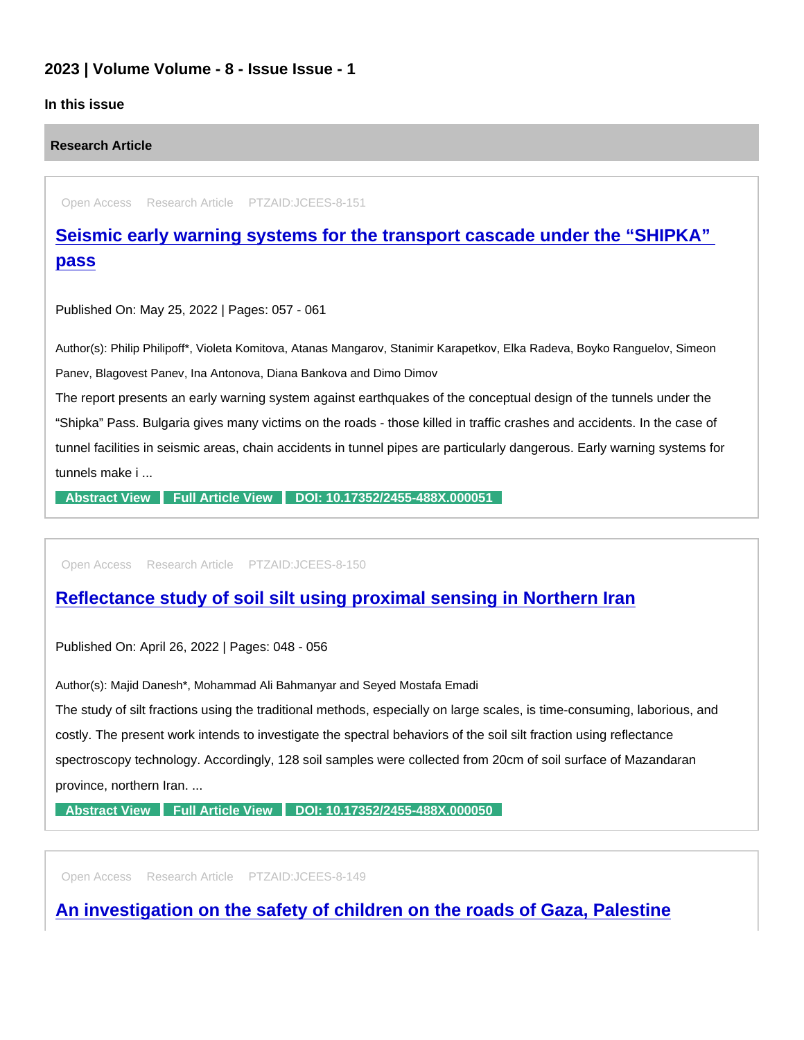## 2023 | Volume Volume - 8 - Issue Issue - 1

## In this issue

Research Article

Open Access Research Article PTZAID:JCEES-8-151

[Seismic early warning systems for the transport cascade under the "SHIPKA"](https://www.peertechzpublications.com/articles/seismic-early-warning-systems-for-the-transport-cascade-under-the-shipka-pass)  pass

Published On: May 25, 2022 | Pages: 057 - 061

Author(s): Philip Philipoff\*, Violeta Komitova, Atanas Mangarov, Stanimir Karapetkov, Elka Radeva, Boyko Ranguelov, Simeon Panev, Blagovest Panev, Ina Antonova, Diana Bankova and Dimo Dimov

The report presents an early warning system against earthquakes of the conceptual design of the tunnels under the "Shipka" Pass. Bulgaria gives many victims on the roads - those killed in traffic crashes and accidents. In the case of tunnel facilities in seismic areas, chain accidents in tunnel pipes are particularly dangerous. Early warning systems for tunnels make i ...

[Abstract View](https://www.peertechzpublications.com/abstracts/seismic-early-warning-systems-for-the-transport-cascade-under-the-shipka-pass) [Full Article View](https://www.peertechzpublications.com/articles/seismic-early-warning-systems-for-the-transport-cascade-under-the-shipka-pass) [DOI: 10.17352/2455-488X.000051](http://dx.doi.org/10.17352/2455-488X.000051)

Open Access Research Article PTZAID:JCEES-8-150

[Reflectance study of soil silt using proximal sensing in Northern Iran](https://www.peertechzpublications.com/articles/reflectance-study-of-soil-silt-using-proximal-sensing-in-northern-iran)

Published On: April 26, 2022 | Pages: 048 - 056

Author(s): Majid Danesh\*, Mohammad Ali Bahmanyar and Seyed Mostafa Emadi

The study of silt fractions using the traditional methods, especially on large scales, is time-consuming, laborious, and costly. The present work intends to investigate the spectral behaviors of the soil silt fraction using reflectance spectroscopy technology. Accordingly, 128 soil samples were collected from 20cm of soil surface of Mazandaran province, northern Iran. ...

[Abstract View](https://www.peertechzpublications.com/abstracts/reflectance-study-of-soil-silt-using-proximal-sensing-in-northern-iran) [Full Article View](https://www.peertechzpublications.com/articles/reflectance-study-of-soil-silt-using-proximal-sensing-in-northern-iran) [DOI: 10.17352/2455-488X.000050](http://dx.doi.org/10.17352/2455-488X.000050)

Open Access Research Article PTZAID:JCEES-8-149

[An investigation on the safety of children on the roads of Gaza, Palestine](https://www.peertechzpublications.com/articles/an-investigation-on-the-safety-of-children-on-the-roads-of-gaza-palestine)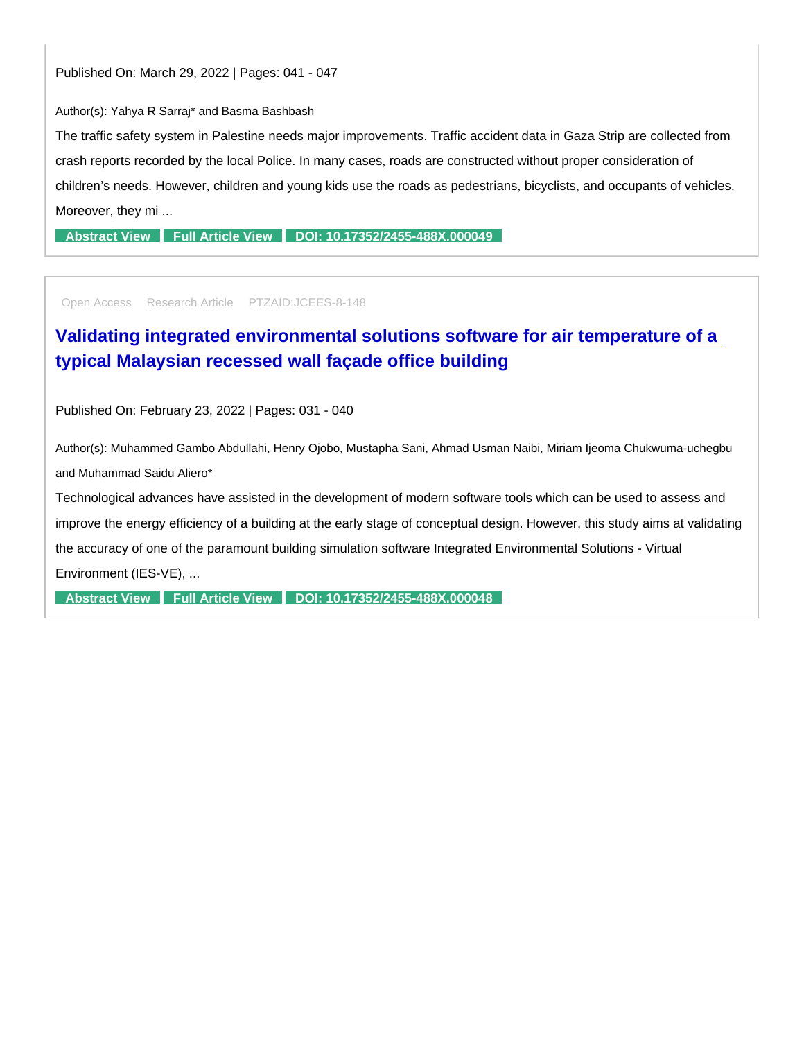Author(s): Yahya R Sarraj\* and Basma Bashbash

The traffic safety system in Palestine needs major improvements. Traffic accident data in Gaza Strip are collected from crash reports recorded by the local Police. In many cases, roads are constructed without proper consideration of children's needs. However, children and young kids use the roads as pedestrians, bicyclists, and occupants of vehicles. Moreover, they mi ...

[Abstract View](https://www.peertechzpublications.com/abstracts/an-investigation-on-the-safety-of-children-on-the-roads-of-gaza-palestine) [Full Article View](https://www.peertechzpublications.com/articles/an-investigation-on-the-safety-of-children-on-the-roads-of-gaza-palestine) [DOI: 10.17352/2455-488X.000049](http://dx.doi.org/10.17352/2455-488X.000049)

Open Access Research Article PTZAID:JCEES-8-148

[Validating integrated environmental solutions software for air temperature of a](https://www.peertechzpublications.com/articles/validating-integrated-environmental-solutions-software-for-air-temperature-of-a-typical-malaysian-recessed-wall-faade-office-building)  typical Malaysian recessed wall façade office building

Published On: February 23, 2022 | Pages: 031 - 040

Author(s): Muhammed Gambo Abdullahi, Henry Ojobo, Mustapha Sani, Ahmad Usman Naibi, Miriam Ijeoma Chukwuma-uchegbu and Muhammad Saidu Aliero\*

Technological advances have assisted in the development of modern software tools which can be used to assess and improve the energy efficiency of a building at the early stage of conceptual design. However, this study aims at validating the accuracy of one of the paramount building simulation software Integrated Environmental Solutions - Virtual Environment (IES-VE), ...

[Abstract View](https://www.peertechzpublications.com/abstracts/validating-integrated-environmental-solutions-software-for-air-temperature-of-a-typical-malaysian-recessed-wall-faade-office-building) [Full Article View](https://www.peertechzpublications.com/articles/validating-integrated-environmental-solutions-software-for-air-temperature-of-a-typical-malaysian-recessed-wall-faade-office-building) [DOI: 10.17352/2455-488X.000048](http://dx.doi.org/10.17352/2455-488X.000048)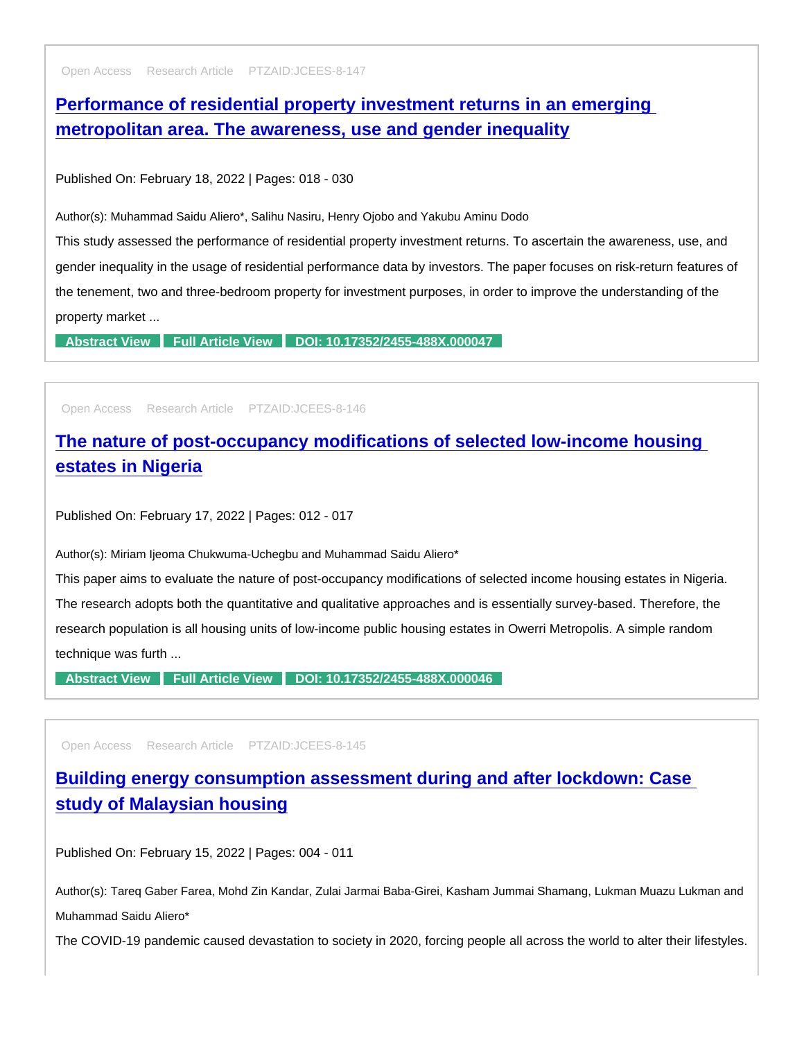Open Access Research Article PTZAID:JCEES-8-147

[Performance of residential property investment returns in an emerging](https://www.peertechzpublications.com/articles/performance-of-residential-property-investment-returns-in-an-emerging-metropolitan-area-the-awareness-use-and-gender-inequality)  metropolitan area. The awareness, use and gender inequality

Published On: February 18, 2022 | Pages: 018 - 030

Author(s): Muhammad Saidu Aliero\*, Salihu Nasiru, Henry Ojobo and Yakubu Aminu Dodo

This study assessed the performance of residential property investment returns. To ascertain the awareness, use, and gender inequality in the usage of residential performance data by investors. The paper focuses on risk-return features of the tenement, two and three-bedroom property for investment purposes, in order to improve the understanding of the property market ...

[Abstract View](https://www.peertechzpublications.com/abstracts/performance-of-residential-property-investment-returns-in-an-emerging-metropolitan-area-the-awareness-use-and-gender-inequality) [Full Article View](https://www.peertechzpublications.com/articles/performance-of-residential-property-investment-returns-in-an-emerging-metropolitan-area-the-awareness-use-and-gender-inequality) [DOI: 10.17352/2455-488X.000047](http://dx.doi.org/10.17352/2455-488X.000047)

Open Access Research Article PTZAID:JCEES-8-146

[The nature of post-occupancy modifications of selected low-income housing](https://www.peertechzpublications.com/articles/the-nature-of-post-occupancy-modifications-of-selected-low-income-housing-estates-in-nigeria)  estates in Nigeria

Published On: February 17, 2022 | Pages: 012 - 017

Author(s): Miriam Ijeoma Chukwuma-Uchegbu and Muhammad Saidu Aliero\*

This paper aims to evaluate the nature of post-occupancy modifications of selected income housing estates in Nigeria. The research adopts both the quantitative and qualitative approaches and is essentially survey-based. Therefore, the research population is all housing units of low-income public housing estates in Owerri Metropolis. A simple random technique was furth ...

[Abstract View](https://www.peertechzpublications.com/abstracts/the-nature-of-post-occupancy-modifications-of-selected-low-income-housing-estates-in-nigeria) [Full Article View](https://www.peertechzpublications.com/articles/the-nature-of-post-occupancy-modifications-of-selected-low-income-housing-estates-in-nigeria) [DOI: 10.17352/2455-488X.000046](http://dx.doi.org/10.17352/2455-488X.000046)

Open Access Research Article PTZAID:JCEES-8-145

[Building energy consumption assessment during and after lockdown: Case](https://www.peertechzpublications.com/articles/building-energy-consumption-assessment-during-and-after-lockdown-case-study-of-malaysian-housing)  study of Malaysian housing

Published On: February 15, 2022 | Pages: 004 - 011

Author(s): Tareq Gaber Farea, Mohd Zin Kandar, Zulai Jarmai Baba-Girei, Kasham Jummai Shamang, Lukman Muazu Lukman and Muhammad Saidu Aliero\*

The COVID-19 pandemic caused devastation to society in 2020, forcing people all across the world to alter their lifestyles.